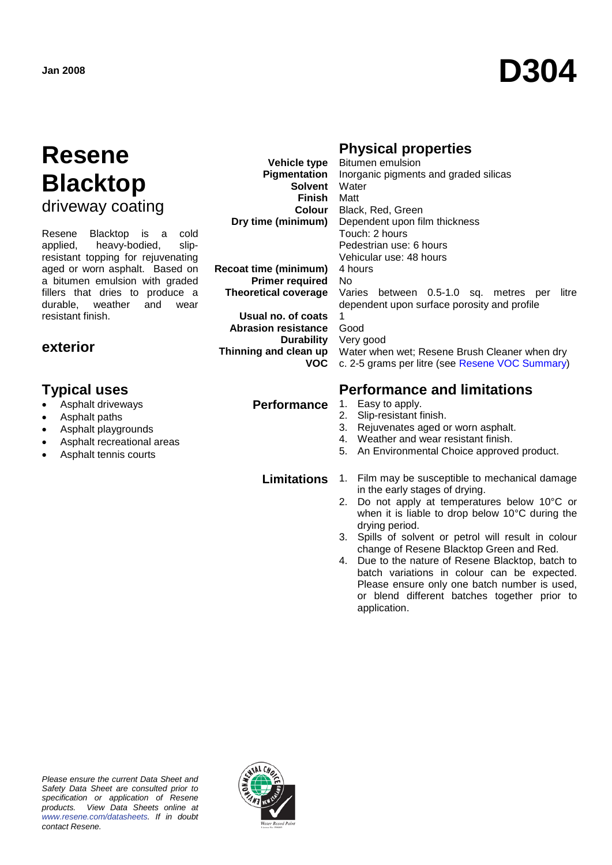# **Jan <sup>2008</sup> D304**

## **Resene Blacktop**

driveway coating

Resene Blacktop is a cold<br>applied. heavy-bodied. slipheavy-bodied, slipresistant topping for rejuvenating aged or worn asphalt. Based on a bitumen emulsion with graded fillers that dries to produce a durable, weather and wear resistant finish.

### **exterior**

- Asphalt driveways
- Asphalt paths
- Asphalt playgrounds
- Asphalt recreational areas
- Asphalt tennis courts

**Vehicle type Pigmentation Solvent** Water **Finish** Matt **Colour Dry time (minimum)**

**Recoat time (minimum) Primer required Theoretical coverage**

**Usual no. of coats Abrasion resistance Durability Thinning and clean up VOC**

### **Physical properties**

Bitumen emulsion Inorganic pigments and graded silicas Black, Red, Green Dependent upon film thickness Touch: 2 hours Pedestrian use: 6 hours Vehicular use: 48 hours 4 hours No Varies between 0.5-1.0 sq. metres per litre dependent upon surface porosity and profile 1 Good Very good Water when wet; Resene Brush Cleaner when dry c. 2-5 grams per litre (see [Resene VOC Summary\)](http://www.resene.co.nz/archspec/datashts/vocsummary.pdf)

**Typical uses Performance and limitations**

- **Performance** 1. Easy to apply.<br>2. Slip-resistant f
	- Slip-resistant finish.
	- 3. Rejuvenates aged or worn asphalt.<br>4. Weather and wear resistant finish.
	- Weather and wear resistant finish.
	- 5. An Environmental Choice approved product.

- **Limitations** 1. Film may be susceptible to mechanical damage in the early stages of drying.
	- 2. Do not apply at temperatures below 10°C or when it is liable to drop below 10°C during the drying period.
	- 3. Spills of solvent or petrol will result in colour change of Resene Blacktop Green and Red.
	- 4. Due to the nature of Resene Blacktop, batch to batch variations in colour can be expected. Please ensure only one batch number is used, or blend different batches together prior to application.